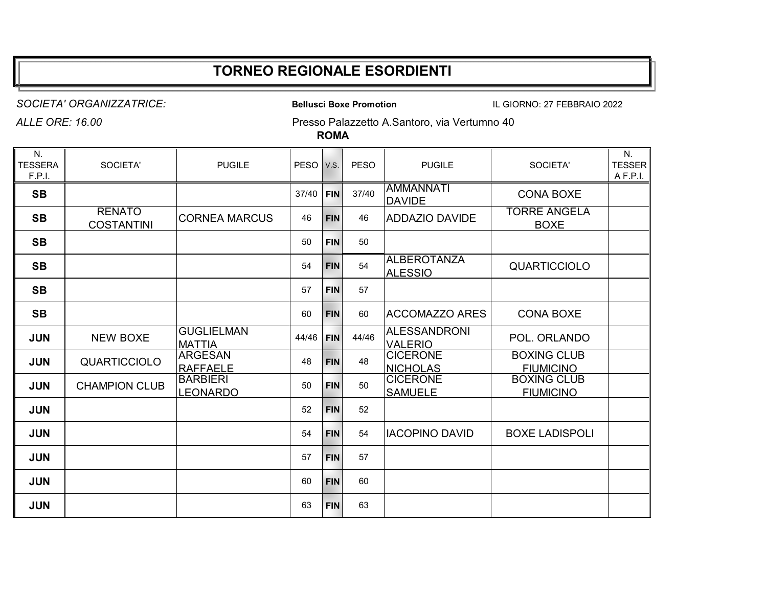## **TORNEO REGIONALE ESORDIENTI**

*SOCIETA' ORGANIZZATRICE:* **Bellusci Boxe Promotion** IL GIORNO: 27 FEBBRAIO 2022

*ALLE ORE: 16.00* Presso Palazzetto A.Santoro, via Vertumno 40

**ROMA**

| N.<br><b>TESSERA</b><br>F.P.I. | SOCIETA'                           | <b>PUGILE</b>                      | <b>PESO</b> | V.S.       | <b>PESO</b> | <b>PUGILE</b>                         | SOCIETA'                               | N.<br><b>TESSER</b><br>A F.P.I. |
|--------------------------------|------------------------------------|------------------------------------|-------------|------------|-------------|---------------------------------------|----------------------------------------|---------------------------------|
| <b>SB</b>                      |                                    |                                    | 37/40       | <b>FIN</b> | 37/40       | <b>AMMANNATI</b><br><b>DAVIDE</b>     | <b>CONA BOXE</b>                       |                                 |
| <b>SB</b>                      | <b>RENATO</b><br><b>COSTANTINI</b> | <b>CORNEA MARCUS</b>               | 46          | <b>FIN</b> | 46          | <b>ADDAZIO DAVIDE</b>                 | <b>TORRE ANGELA</b><br><b>BOXE</b>     |                                 |
| <b>SB</b>                      |                                    |                                    | 50          | <b>FIN</b> | 50          |                                       |                                        |                                 |
| <b>SB</b>                      |                                    |                                    | 54          | <b>FIN</b> | 54          | <b>ALBEROTANZA</b><br><b>ALESSIO</b>  | <b>QUARTICCIOLO</b>                    |                                 |
| <b>SB</b>                      |                                    |                                    | 57          | <b>FIN</b> | 57          |                                       |                                        |                                 |
| <b>SB</b>                      |                                    |                                    | 60          | <b>FIN</b> | 60          | <b>ACCOMAZZO ARES</b>                 | <b>CONA BOXE</b>                       |                                 |
| <b>JUN</b>                     | <b>NEW BOXE</b>                    | <b>GUGLIELMAN</b><br><b>MATTIA</b> | 44/46       | <b>FIN</b> | 44/46       | <b>ALESSANDRONI</b><br><b>VALERIO</b> | POL. ORLANDO                           |                                 |
| <b>JUN</b>                     | <b>QUARTICCIOLO</b>                | <b>ARGESAN</b><br><b>RAFFAELE</b>  | 48          | <b>FIN</b> | 48          | <b>CICERONE</b><br><b>NICHOLAS</b>    | <b>BOXING CLUB</b><br><b>FIUMICINO</b> |                                 |
| <b>JUN</b>                     | <b>CHAMPION CLUB</b>               | <b>BARBIERI</b><br><b>LEONARDO</b> | 50          | <b>FIN</b> | 50          | <b>CICERONE</b><br><b>SAMUELE</b>     | <b>BOXING CLUB</b><br><b>FIUMICINO</b> |                                 |
| <b>JUN</b>                     |                                    |                                    | 52          | <b>FIN</b> | 52          |                                       |                                        |                                 |
| <b>JUN</b>                     |                                    |                                    | 54          | <b>FIN</b> | 54          | <b>IACOPINO DAVID</b>                 | <b>BOXE LADISPOLI</b>                  |                                 |
| <b>JUN</b>                     |                                    |                                    | 57          | <b>FIN</b> | 57          |                                       |                                        |                                 |
| <b>JUN</b>                     |                                    |                                    | 60          | <b>FIN</b> | 60          |                                       |                                        |                                 |
| <b>JUN</b>                     |                                    |                                    | 63          | <b>FIN</b> | 63          |                                       |                                        |                                 |